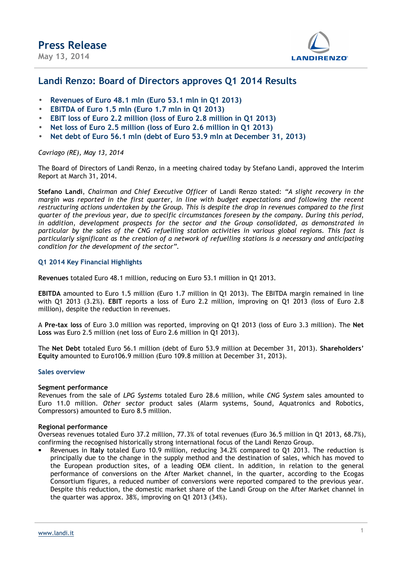

### **Landi Renzo: Board of Directors approves Q1 2014 Results**

- **Revenues of Euro 48.1 mln (Euro 53.1 mln in Q1 2013)**
- **EBITDA of Euro 1.5 mln (Euro 1.7 mln in Q1 2013)**
- **EBIT loss of Euro 2.2 million (loss of Euro 2.8 million in Q1 2013)**
- **Net loss of Euro 2.5 million (loss of Euro 2.6 million in Q1 2013)**
- **Net debt of Euro 56.1 mln (debt of Euro 53.9 mln at December 31, 2013)**

*Cavriago (RE), May 13, 2014*

The Board of Directors of Landi Renzo, in a meeting chaired today by Stefano Landi, approved the Interim Report at March 31, 2014.

**Stefano Landi**, *Chairman and Chief Executive Officer* of Landi Renzo stated: *"A slight recovery in the margin was reported in the first quarter, in line with budget expectations and following the recent restructuring actions undertaken by the Group. This is despite the drop in revenues compared to the first quarter of the previous year, due to specific circumstances foreseen by the company. During this period, in addition, development prospects for the sector and the Group consolidated, as demonstrated in particular by the sales of the CNG refuelling station activities in various global regions. This fact is particularly significant as the creation of a network of refuelling stations is a necessary and anticipating condition for the development of the sector".*

### **Q1 2014 Key Financial Highlights**

**Revenues** totaled Euro 48.1 million, reducing on Euro 53.1 million in Q1 2013.

**EBITDA** amounted to Euro 1.5 million (Euro 1.7 million in Q1 2013). The EBITDA margin remained in line with Q1 2013 (3.2%). **EBIT** reports a loss of Euro 2.2 million, improving on Q1 2013 (loss of Euro 2.8 million), despite the reduction in revenues.

A **Pre-tax loss** of Euro 3.0 million was reported, improving on Q1 2013 (loss of Euro 3.3 million). The **Net Loss** was Euro 2.5 million (net loss of Euro 2.6 million in Q1 2013).

The **Net Debt** totaled Euro 56.1 million (debt of Euro 53.9 million at December 31, 2013). **Shareholders' Equity** amounted to Euro106.9 million (Euro 109.8 million at December 31, 2013).

#### **Sales overview**

#### **Segment performance**

Revenues from the sale of *LPG Systems* totaled Euro 28.6 million, while *CNG System* sales amounted to Euro 11.0 million. *Other sector* product sales (Alarm systems, Sound, Aquatronics and Robotics, Compressors) amounted to Euro 8.5 million.

#### **Regional performance**

Overseas revenues totaled Euro 37.2 million, 77.3% of total revenues (Euro 36.5 million in Q1 2013, 68.7%), confirming the recognised historically strong international focus of the Landi Renzo Group.

 Revenues in **Italy** totaled Euro 10.9 million, reducing 34.2% compared to Q1 2013. The reduction is principally due to the change in the supply method and the destination of sales, which has moved to the European production sites, of a leading OEM client. In addition, in relation to the general performance of conversions on the After Market channel, in the quarter, according to the Ecogas Consortium figures, a reduced number of conversions were reported compared to the previous year. Despite this reduction, the domestic market share of the Landi Group on the After Market channel in the quarter was approx. 38%, improving on Q1 2013 (34%).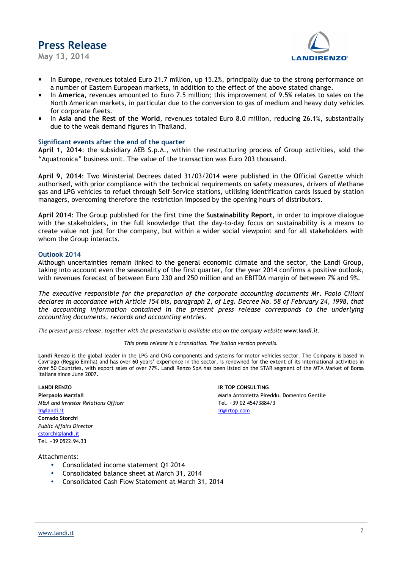**May 13, 2014** 



- In **Europe**, revenues totaled Euro 21.7 million, up 15.2%, principally due to the strong performance on a number of Eastern European markets, in addition to the effect of the above stated change.
- In **America,** revenues amounted to Euro 7.5 million; this improvement of 9.5% relates to sales on the North American markets, in particular due to the conversion to gas of medium and heavy duty vehicles for corporate fleets.
- In **Asia and the Rest of the World**, revenues totaled Euro 8.0 million, reducing 26.1%, substantially due to the weak demand figures in Thailand.

#### **Significant events after the end of the quarter**

**April 1, 2014**: the subsidiary AEB S.p.A., within the restructuring process of Group activities, sold the "Aquatronica" business unit. The value of the transaction was Euro 203 thousand.

**April 9, 2014**: Two Ministerial Decrees dated 31/03/2014 were published in the Official Gazette which authorised, with prior compliance with the technical requirements on safety measures, drivers of Methane gas and LPG vehicles to refuel through Self-Service stations, utilising identification cards issued by station managers, overcoming therefore the restriction imposed by the opening hours of distributors.

**April 2014**: The Group published for the first time the **Sustainability Report,** in order to improve dialogue with the stakeholders, in the full knowledge that the day-to-day focus on sustainability is a means to create value not just for the company, but within a wider social viewpoint and for all stakeholders with whom the Group interacts.

#### **Outlook 2014**

Although uncertainties remain linked to the general economic climate and the sector, the Landi Group, taking into account even the seasonality of the first quarter, for the year 2014 confirms a positive outlook, with revenues forecast of between Euro 230 and 250 million and an EBITDA margin of between 7% and 9%.

*The executive responsible for the preparation of the corporate accounting documents Mr. Paolo Cilloni declares in accordance with Article 154 bis, paragraph 2, of Leg. Decree No. 58 of February 24, 1998, that the accounting information contained in the present press release corresponds to the underlying accounting documents, records and accounting entries.*

*The present press release, together with the presentation is available also on the company website www.landi.it.* 

*This press release is a translation. The Italian version prevails.* 

**Landi Renzo** is the global leader in the LPG and CNG components and systems for motor vehicles sector. The Company is based in Cavriago (Reggio Emilia) and has over 60 years' experience in the sector, is renowned for the extent of its international activities in over 50 Countries, with export sales of over 77%. Landi Renzo SpA has been listed on the STAR segment of the MTA Market of Borsa Italiana since June 2007.

*M&A and Investor Relations Officer* Tel. +39 02 45473884/3 ir@landi.it irm and the community of the community of the community of the community of the community of the community of the community of the community of the community of the community of the community of the community o **Corrado Storchi**  *Public Affairs Director*  cstorchi@landi.it Tel. +39 0522.94.33

**LANDI RENZO IR TOP CONSULTING Pierpaolo Marziali** Maria Antonietta Pireddu, Domenico Gentile

#### Attachments:

- Consolidated income statement Q1 2014
- Consolidated balance sheet at March 31, 2014
- Consolidated Cash Flow Statement at March 31, 2014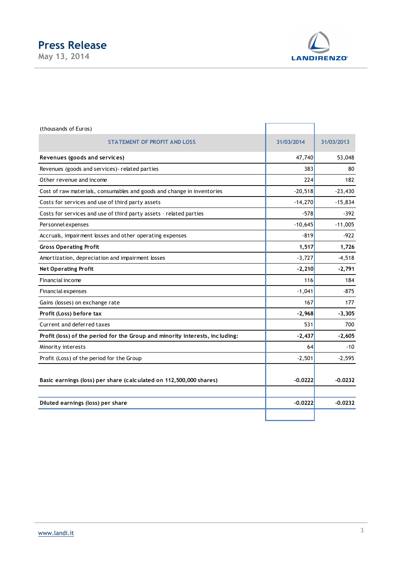



| (thousands of Euros)                                                         |            |            |
|------------------------------------------------------------------------------|------------|------------|
| <b>STATEMENT OF PROFIT AND LOSS</b>                                          | 31/03/2014 | 31/03/2013 |
| Revenues (goods and services)                                                | 47,740     | 53,048     |
| Revenues (goods and services) - related parties                              | 383        | 80         |
| Other revenue and income                                                     | 224        | 182        |
| Cost of raw materials, consumables and goods and change in inventories       | $-20,518$  | $-23,430$  |
| Costs for services and use of third party assets                             | $-14,270$  | $-15,834$  |
| Costs for services and use of third party assets - related parties           | $-578$     | $-392$     |
| Personnel expenses                                                           | $-10,645$  | $-11,005$  |
| Accruals, impairment losses and other operating expenses                     | $-819$     | $-922$     |
| <b>Gross Operating Profit</b>                                                | 1,517      | 1,726      |
| Amortization, depreciation and impairment losses                             | $-3,727$   | $-4,518$   |
| <b>Net Operating Profit</b>                                                  | $-2,210$   | $-2,791$   |
| Financial income                                                             | 116        | 184        |
| <b>Financial expenses</b>                                                    | $-1,041$   | -875       |
| Gains (losses) on exchange rate                                              | 167        | 177        |
| Profit (Loss) before tax                                                     | $-2,968$   | $-3,305$   |
| Current and deferred taxes                                                   | 531        | 700        |
| Profit (loss) of the period for the Group and minority interests, including: | $-2,437$   | $-2,605$   |
| Minority interests                                                           | 64         | $-10$      |
| Profit (Loss) of the period for the Group                                    | $-2,501$   | $-2,595$   |
| Basic earnings (loss) per share (calculated on 112,500,000 shares)           | $-0.0222$  | $-0.0232$  |
| Diluted earnings (loss) per share                                            | $-0.0222$  | $-0.0232$  |
|                                                                              |            |            |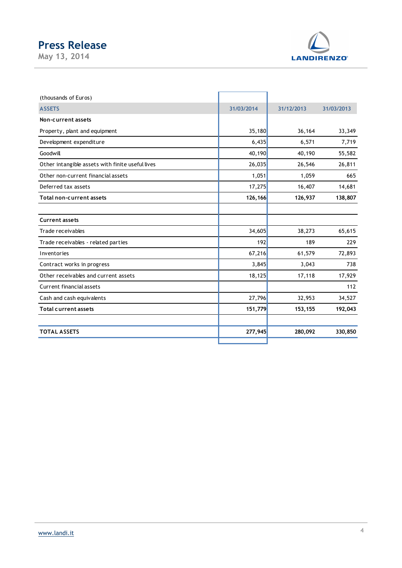**May 13, 2014** 



| (thousands of Euros)                             |            |            |            |
|--------------------------------------------------|------------|------------|------------|
| <b>ASSETS</b>                                    | 31/03/2014 | 31/12/2013 | 31/03/2013 |
| Non-current assets                               |            |            |            |
| Property, plant and equipment                    | 35,180     | 36,164     | 33,349     |
| Development expenditure                          | 6,435      | 6,571      | 7,719      |
| Goodwill                                         | 40,190     | 40,190     | 55,582     |
| Other intangible assets with finite useful lives | 26,035     | 26,546     | 26,811     |
| Other non-current financial assets               | 1,051      | 1,059      | 665        |
| Deferred tax assets                              | 17,275     | 16,407     | 14,681     |
| Total non-current assets                         | 126,166    | 126,937    | 138,807    |
|                                                  |            |            |            |
| <b>Current assets</b>                            |            |            |            |
| Trade receivables                                | 34,605     | 38,273     | 65,615     |
| Trade receivables - related parties              | 192        | 189        | 229        |
| Inventories                                      | 67,216     | 61,579     | 72,893     |
| Contract works in progress                       | 3,845      | 3,043      | 738        |
| Other receivables and current assets             | 18,125     | 17,118     | 17,929     |
| Current financial assets                         |            |            | 112        |
| Cash and cash equivalents                        | 27,796     | 32,953     | 34,527     |
| <b>Total current assets</b>                      | 151,779    | 153,155    | 192,043    |
| <b>TOTAL ASSETS</b>                              | 277,945    | 280,092    | 330,850    |
|                                                  |            |            |            |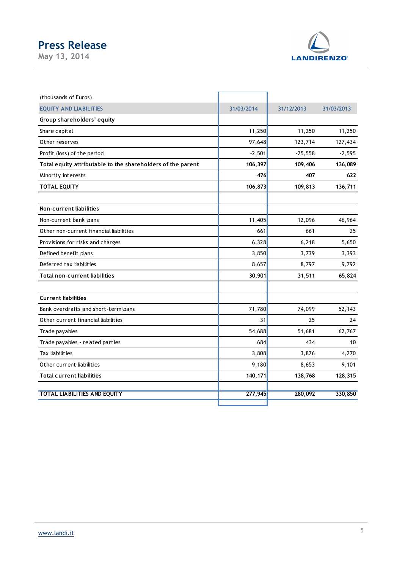**May 13, 2014** 



| (thousands of Euros)                                        |            |            |            |
|-------------------------------------------------------------|------------|------------|------------|
| <b>EQUITY AND LIABILITIES</b>                               | 31/03/2014 | 31/12/2013 | 31/03/2013 |
| Group shareholders' equity                                  |            |            |            |
| Share capital                                               | 11,250     | 11,250     | 11,250     |
| Other reserves                                              | 97,648     | 123,714    | 127,434    |
| Profit (loss) of the period                                 | $-2,501$   | $-25,558$  | $-2,595$   |
| Total equity attributable to the shareholders of the parent | 106,397    | 109,406    | 136,089    |
| Minority interests                                          | 476        | 407        | 622        |
| <b>TOTAL EQUITY</b>                                         | 106,873    | 109,813    | 136,711    |
| Non-current liabilities                                     |            |            |            |
| Non-current bank loans                                      | 11,405     | 12,096     | 46,964     |
| Other non-current financial liabilities                     | 661        | 661        | 25         |
| Provisions for risks and charges                            | 6,328      | 6,218      | 5,650      |
| Defined benefit plans                                       | 3,850      | 3,739      | 3,393      |
| Deferred tax liabilities                                    | 8,657      | 8,797      | 9,792      |
| Total non-current liabilities                               | 30,901     | 31,511     | 65,824     |
| <b>Current liabilities</b>                                  |            |            |            |
| Bank overdrafts and short-term loans                        | 71,780     | 74,099     | 52,143     |
| Other current financial liabilities                         | 31         | 25         | 24         |
| Trade payables                                              | 54,688     | 51,681     | 62,767     |
| Trade payables - related parties                            | 684        | 434        | 10         |
| Tax liabilities                                             | 3,808      | 3,876      | 4,270      |
| Other current liabilities                                   | 9,180      | 8,653      | 9,101      |
| <b>Total current liabilities</b>                            | 140, 171   | 138,768    | 128,315    |
| <b>TOTAL LIABILITIES AND EQUITY</b>                         | 277,945    | 280,092    | 330,850    |